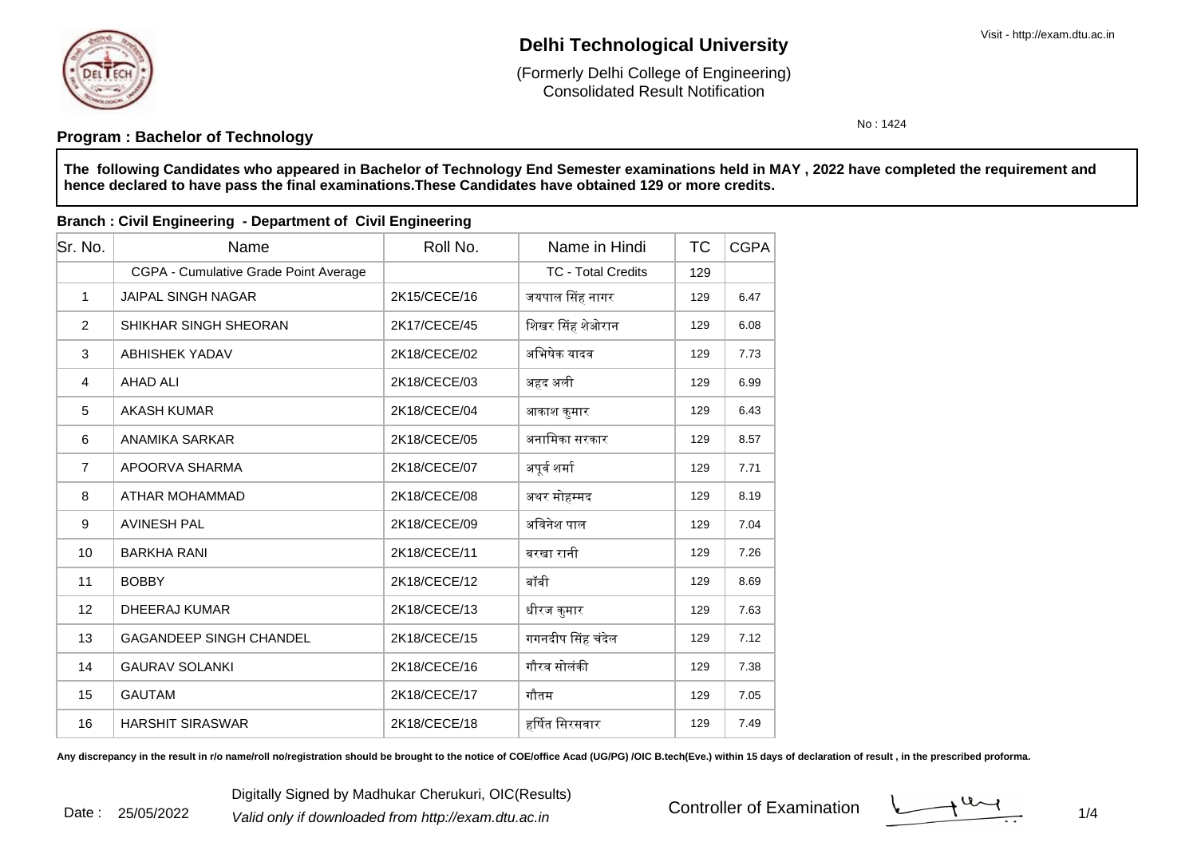

Date : 25/05/2022

## **Delhi Technological University**

Consolidated Result Notification(Formerly Delhi College of Engineering)

No : 1424

### **Program : Bachelor of Technology**

**The following Candidates who appeared in Bachelor of Technology End Semester examinations held in MAY , 2022 have completed the requirement andhence declared to have pass the final examinations.These Candidates have obtained 129 or more credits.**

#### **Branch : Civil Engineering - Department of Civil Engineering**

| Sr. No.        | Name                                  | Roll No.     | Name in Hindi             | ТC  | <b>CGPA</b> |
|----------------|---------------------------------------|--------------|---------------------------|-----|-------------|
|                | CGPA - Cumulative Grade Point Average |              | <b>TC - Total Credits</b> | 129 |             |
| 1              | <b>JAIPAL SINGH NAGAR</b>             | 2K15/CECE/16 | जयपाल सिंह नागर           | 129 | 6.47        |
| $\overline{2}$ | SHIKHAR SINGH SHEORAN                 | 2K17/CECE/45 | शिखर सिंह शेओरान          | 129 | 6.08        |
| 3              | <b>ABHISHEK YADAV</b>                 | 2K18/CECE/02 | अभिषेक यादव               | 129 | 7.73        |
| $\overline{4}$ | <b>AHAD ALI</b>                       | 2K18/CECE/03 | अहद अली                   | 129 | 6.99        |
| 5              | <b>AKASH KUMAR</b>                    | 2K18/CECE/04 | आकाश कुमार                | 129 | 6.43        |
| 6              | <b>ANAMIKA SARKAR</b>                 | 2K18/CECE/05 | अनामिका सरकार             | 129 | 8.57        |
| $\overline{7}$ | APOORVA SHARMA                        | 2K18/CECE/07 | अपूर्व शर्मा              | 129 | 7.71        |
| 8              | ATHAR MOHAMMAD                        | 2K18/CECE/08 | अथर मोहम्मद               | 129 | 8.19        |
| 9              | <b>AVINESH PAL</b>                    | 2K18/CECE/09 | अविनेश पाल                | 129 | 7.04        |
| 10             | <b>BARKHA RANI</b>                    | 2K18/CECE/11 | बरखा रानी                 | 129 | 7.26        |
| 11             | <b>BOBBY</b>                          | 2K18/CECE/12 | बॉबी                      | 129 | 8.69        |
| 12             | DHEERAJ KUMAR                         | 2K18/CECE/13 | धीरज कुमार                | 129 | 7.63        |
| 13             | <b>GAGANDEEP SINGH CHANDEL</b>        | 2K18/CECE/15 | गगनदीप सिंह चंदेल         | 129 | 7.12        |
| 14             | <b>GAURAV SOLANKI</b>                 | 2K18/CECE/16 | गौरव सोलंकी               | 129 | 7.38        |
| 15             | <b>GAUTAM</b>                         | 2K18/CECE/17 | गौतम                      | 129 | 7.05        |
| 16             | <b>HARSHIT SIRASWAR</b>               | 2K18/CECE/18 | हर्षित सिरसवार            | 129 | 7.49        |

Any discrepancy in the result in r/o name/roll no/registration should be brought to the notice of COE/office Acad (UG/PG) /OIC B.tech(Eve.) within 15 days of declaration of result, in the prescribed proforma.

 $1/4$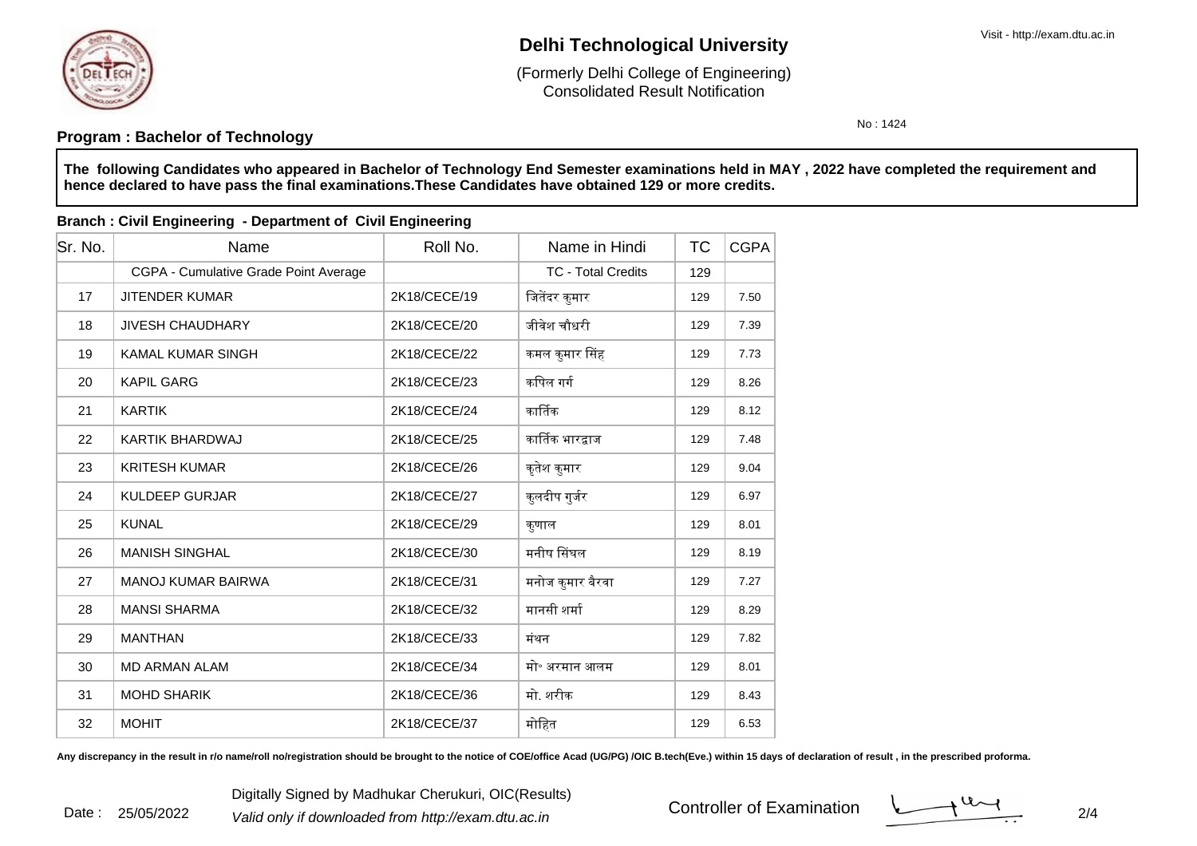

Date : 25/05/2022

## **Delhi Technological University**

Consolidated Result Notification(Formerly Delhi College of Engineering)

No : 1424

### **Program : Bachelor of Technology**

**The following Candidates who appeared in Bachelor of Technology End Semester examinations held in MAY , 2022 have completed the requirement andhence declared to have pass the final examinations.These Candidates have obtained 129 or more credits.**

#### **Branch : Civil Engineering - Department of Civil Engineering**

| Sr. No. | Name                                  | Roll No.     | Name in Hindi             | ТC  | <b>CGPA</b> |
|---------|---------------------------------------|--------------|---------------------------|-----|-------------|
|         | CGPA - Cumulative Grade Point Average |              | <b>TC - Total Credits</b> | 129 |             |
| 17      | <b>JITENDER KUMAR</b>                 | 2K18/CECE/19 | जितेंदर कुमार             | 129 | 7.50        |
| 18      | <b>JIVESH CHAUDHARY</b>               | 2K18/CECE/20 | जीवेश चौधरी               | 129 | 7.39        |
| 19      | <b>KAMAL KUMAR SINGH</b>              | 2K18/CECE/22 | कमल कुमार सिंह            | 129 | 7.73        |
| 20      | <b>KAPIL GARG</b>                     | 2K18/CECE/23 | कपिल गर्ग                 | 129 | 8.26        |
| 21      | <b>KARTIK</b>                         | 2K18/CECE/24 | कार्तिक                   | 129 | 8.12        |
| 22      | <b>KARTIK BHARDWAJ</b>                | 2K18/CECE/25 | कार्तिक भारद्वाज          | 129 | 7.48        |
| 23      | <b>KRITESH KUMAR</b>                  | 2K18/CECE/26 | कृतेश कुमार               | 129 | 9.04        |
| 24      | <b>KULDEEP GURJAR</b>                 | 2K18/CECE/27 | कुलदीप गुर्जर             | 129 | 6.97        |
| 25      | <b>KUNAL</b>                          | 2K18/CECE/29 | कुणाल                     | 129 | 8.01        |
| 26      | <b>MANISH SINGHAL</b>                 | 2K18/CECE/30 | मनीष सिंघल                | 129 | 8.19        |
| 27      | <b>MANOJ KUMAR BAIRWA</b>             | 2K18/CECE/31 | मनोज कुमार बैरवा          | 129 | 7.27        |
| 28      | <b>MANSI SHARMA</b>                   | 2K18/CECE/32 | मानसी शर्मा               | 129 | 8.29        |
| 29      | <b>MANTHAN</b>                        | 2K18/CECE/33 | मंथन                      | 129 | 7.82        |
| 30      | <b>MD ARMAN ALAM</b>                  | 2K18/CECE/34 | मो॰ अरमान आलम             | 129 | 8.01        |
| 31      | <b>MOHD SHARIK</b>                    | 2K18/CECE/36 | मो. शरीक                  | 129 | 8.43        |
| 32      | <b>MOHIT</b>                          | 2K18/CECE/37 | मोहित                     | 129 | 6.53        |

Any discrepancy in the result in r/o name/roll no/registration should be brought to the notice of COE/office Acad (UG/PG) /OIC B.tech(Eve.) within 15 days of declaration of result, in the prescribed proforma.

 $\frac{1}{2}$  2/4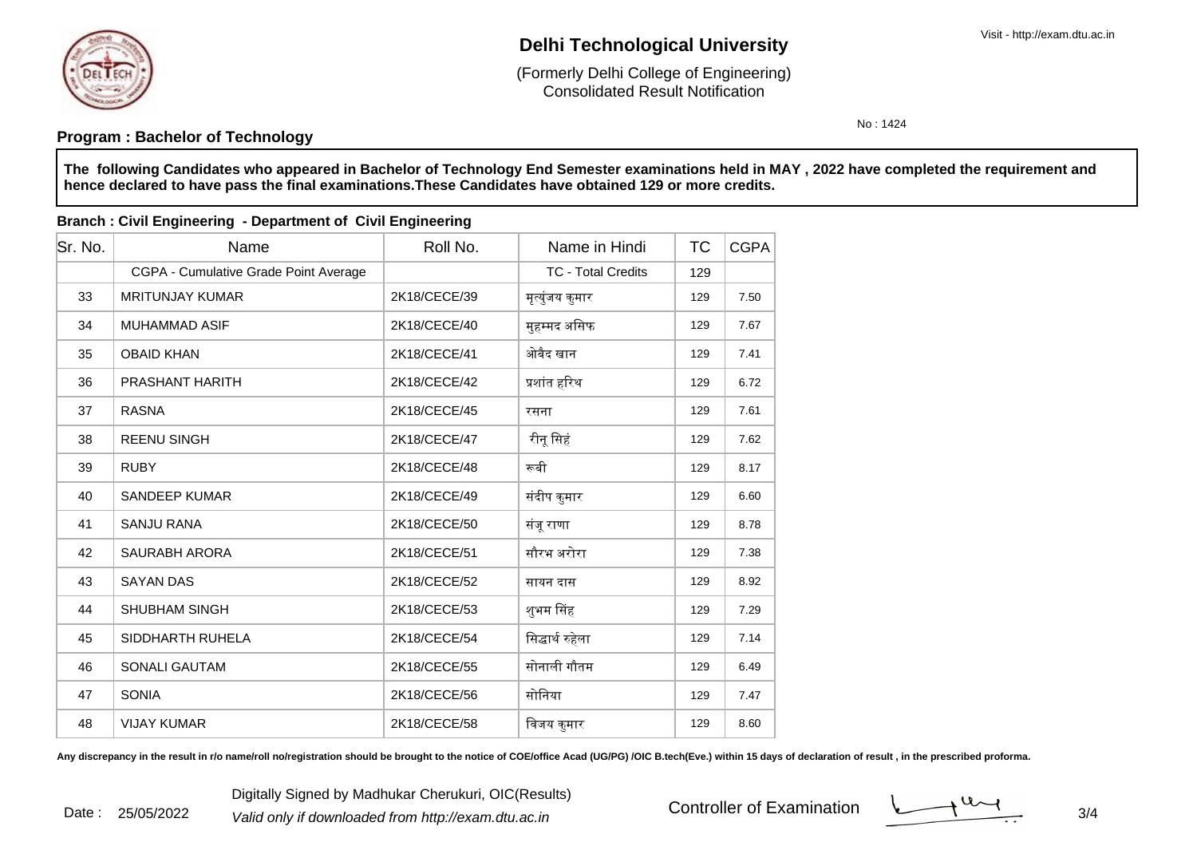

Date : 25/05/2022

## **Delhi Technological University**

Consolidated Result Notification(Formerly Delhi College of Engineering)

No : 1424

### **Program : Bachelor of Technology**

**The following Candidates who appeared in Bachelor of Technology End Semester examinations held in MAY , 2022 have completed the requirement andhence declared to have pass the final examinations.These Candidates have obtained 129 or more credits.**

#### **Branch : Civil Engineering - Department of Civil Engineering**

| Sr. No. | Name                                  | Roll No.     | Name in Hindi             | ТC  | <b>CGPA</b> |
|---------|---------------------------------------|--------------|---------------------------|-----|-------------|
|         | CGPA - Cumulative Grade Point Average |              | <b>TC - Total Credits</b> | 129 |             |
| 33      | <b>MRITUNJAY KUMAR</b>                | 2K18/CECE/39 | मृत्युंजय कुमार           | 129 | 7.50        |
| 34      | <b>MUHAMMAD ASIF</b>                  | 2K18/CECE/40 | मुहम्मद असिफ              | 129 | 7.67        |
| 35      | <b>OBAID KHAN</b>                     | 2K18/CECE/41 | ओबैद खान                  | 129 | 7.41        |
| 36      | <b>PRASHANT HARITH</b>                | 2K18/CECE/42 | प्रशांत हरिथ              | 129 | 6.72        |
| 37      | <b>RASNA</b>                          | 2K18/CECE/45 | रसना                      | 129 | 7.61        |
| 38      | <b>REENU SINGH</b>                    | 2K18/CECE/47 | रीनू सिहं                 | 129 | 7.62        |
| 39      | <b>RUBY</b>                           | 2K18/CECE/48 | रूबी                      | 129 | 8.17        |
| 40      | SANDEEP KUMAR                         | 2K18/CECE/49 | संदीप कुमार               | 129 | 6.60        |
| 41      | <b>SANJU RANA</b>                     | 2K18/CECE/50 | संजू राणा                 | 129 | 8.78        |
| 42      | SAURABH ARORA                         | 2K18/CECE/51 | सौरभ अरोरा                | 129 | 7.38        |
| 43      | <b>SAYAN DAS</b>                      | 2K18/CECE/52 | सायन दास                  | 129 | 8.92        |
| 44      | <b>SHUBHAM SINGH</b>                  | 2K18/CECE/53 | शुभम सिंह                 | 129 | 7.29        |
| 45      | SIDDHARTH RUHELA                      | 2K18/CECE/54 | सिद्धार्थ रुहेला          | 129 | 7.14        |
| 46      | <b>SONALI GAUTAM</b>                  | 2K18/CECE/55 | सोनाली गौतम               | 129 | 6.49        |
| 47      | <b>SONIA</b>                          | 2K18/CECE/56 | सोनिया                    | 129 | 7.47        |
| 48      | <b>VIJAY KUMAR</b>                    | 2K18/CECE/58 | विजय कुमार                | 129 | 8.60        |

Any discrepancy in the result in r/o name/roll no/registration should be brought to the notice of COE/office Acad (UG/PG) /OIC B.tech(Eve.) within 15 days of declaration of result, in the prescribed proforma.

 $\frac{3}{4}$